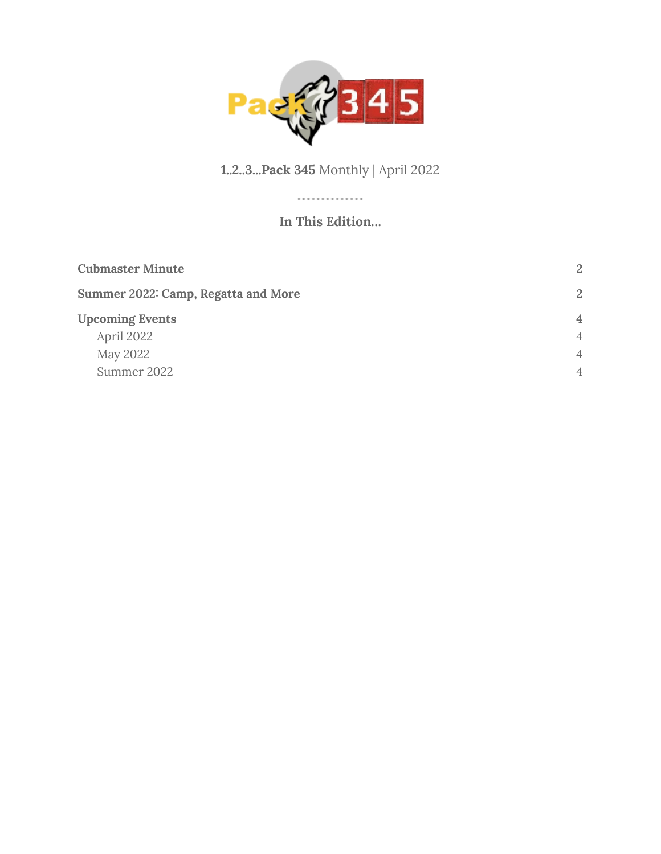

#### **1..2..3...Pack 345** Monthly | April 2022

#### ............. **In This Edition…**

| <b>Cubmaster Minute</b>             | 2              |
|-------------------------------------|----------------|
| Summer 2022: Camp, Regatta and More | 2              |
| <b>Upcoming Events</b>              | $\overline{4}$ |
| April 2022                          | $\overline{4}$ |
| May 2022                            | $\overline{4}$ |
| Summer 2022                         | $\overline{4}$ |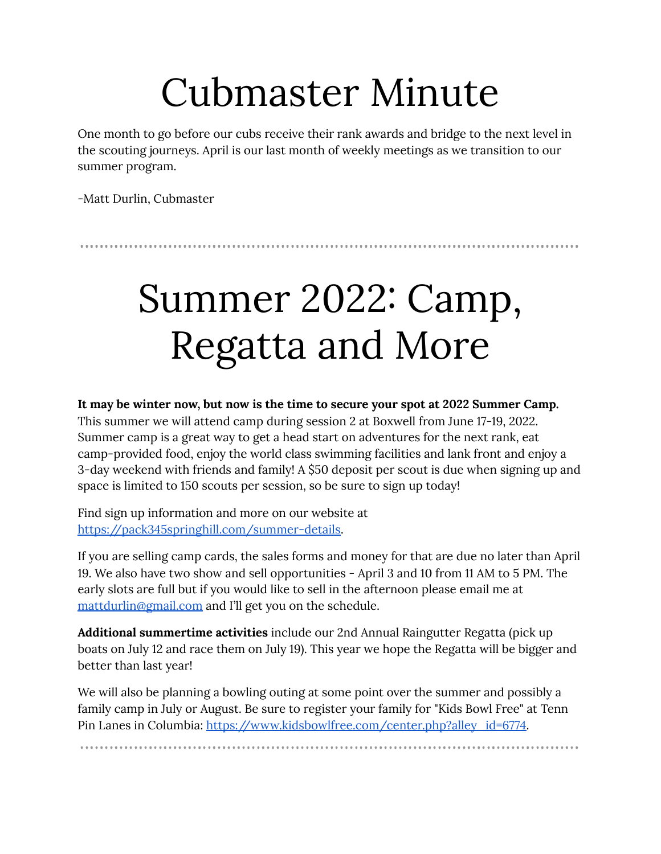## Cubmaster Minute

<span id="page-1-0"></span>One month to go before our cubs receive their rank awards and bridge to the next level in the scouting journeys. April is our last month of weekly meetings as we transition to our summer program.

-Matt Durlin, Cubmaster

# <span id="page-1-1"></span>Summer 2022: Camp, Regatta and More

**It may be winter now, but now is the time to secure your spot at 2022 Summer Camp.**

This summer we will attend camp during session 2 at Boxwell from June 17-19, 2022. Summer camp is a great way to get a head start on adventures for the next rank, eat camp-provided food, enjoy the world class swimming facilities and lank front and enjoy a 3-day weekend with friends and family! A \$50 deposit per scout is due when signing up and space is limited to 150 scouts per session, so be sure to sign up today!

Find sign up information and more on our website at [https://pack345springhill.com/summer-details.](https://pack345springhill.com/summer-details)

If you are selling camp cards, the sales forms and money for that are due no later than April 19. We also have two show and sell opportunities - April 3 and 10 from 11 AM to 5 PM. The early slots are full but if you would like to sell in the afternoon please email me at [mattdurlin@gmail.com](mailto:mattdurlin@gmail.com) and I'll get you on the schedule.

**Additional summertime activities** include our 2nd Annual Raingutter Regatta (pick up boats on July 12 and race them on July 19). This year we hope the Regatta will be bigger and better than last year!

We will also be planning a bowling outing at some point over the summer and possibly a family camp in July or August. Be sure to register your family for "Kids Bowl Free" at Tenn Pin Lanes in Columbia: [https://www.kidsbowlfree.com/center.php?alley\\_id=6774.](https://www.kidsbowlfree.com/center.php?alley_id=6774)